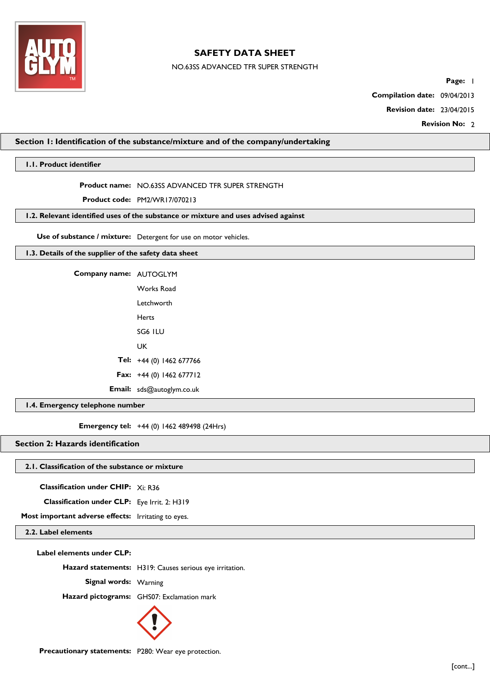

NO.63SS ADVANCED TFR SUPER STRENGTH

Page: 1

**Compilation date:** 09/04/2013

**Revision date:** 23/04/2015

**Revision No: 2** 

# **Section 1: Identification of the substance/mixture and of the company/undertaking**

# **1.1. Product identifier**

**Product name:** NO.63SS ADVANCED TFR SUPER STRENGTH

**Product code:** PM2/WR17/070213

# **1.2. Relevant identified uses of the substance or mixture and uses advised against**

**Use of substance / mixture:** Detergent for use on motor vehicles.

# **1.3. Details of the supplier of the safety data sheet**

**Company name:** AUTOGLYM Works Road

| vvorks Road                       |
|-----------------------------------|
| Letchworth                        |
| Herts                             |
| SG6 ILU                           |
| UK                                |
| Tel: +44 (0) 1462 677766          |
| <b>Fax:</b> $+44$ (0) 1462 677712 |
|                                   |

**Email:** sds@autoglym.co.uk

**1.4. Emergency telephone number**

**Emergency tel:** +44 (0) 1462 489498 (24Hrs)

**Section 2: Hazards identification**

# **2.1. Classification of the substance or mixture**

**Classification under CHIP:** Xi: R36

**Classification under CLP:** Eye Irrit. 2: H319

**Most important adverse effects:** Irritating to eyes.

# **2.2. Label elements**

**Label elements under CLP:**

**Hazard statements:** H319: Causes serious eye irritation.

**Signal words:** Warning

**Hazard pictograms:** GHS07: Exclamation mark



**Precautionary statements:** P280: Wear eye protection.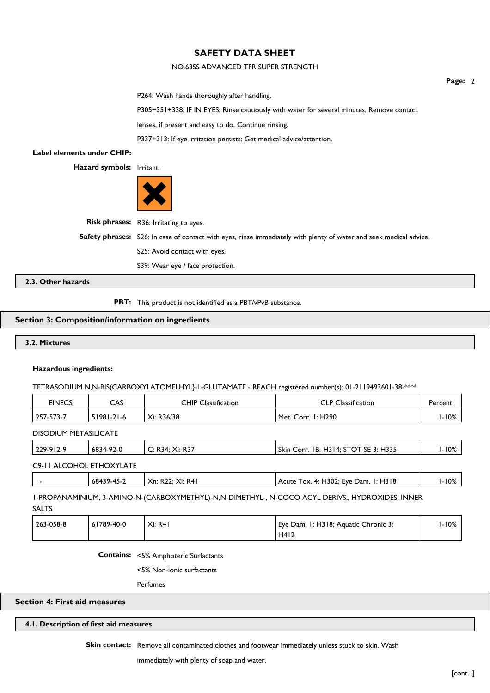# NO.63SS ADVANCED TFR SUPER STRENGTH

P264: Wash hands thoroughly after handling.

P305+351+338: IF IN EYES: Rinse cautiously with water for several minutes. Remove contact

lenses, if present and easy to do. Continue rinsing.

P337+313: If eye irritation persists: Get medical advice/attention.

# **Label elements under CHIP:**

**Hazard symbols:** Irritant.



**Risk phrases:** R36: Irritating to eyes.

**Safety phrases:** S26: In case of contact with eyes, rinse immediately with plenty of water and seek medical advice.

S25: Avoid contact with eyes.

S39: Wear eye / face protection.

**2.3. Other hazards**

**PBT:** This product is not identified as a PBT/vPvB substance.

# **Section 3: Composition/information on ingredients**

# **3.2. Mixtures**

#### **Hazardous ingredients:**

TETRASODIUM N,N-BIS(CARBOXYLATOMELHYL}-L-GLUTAMATE - REACH registered number(s): 01-2119493601-38-\*\*\*\*

| EINECS    | CAS              | <b>CHIP Classification</b> | <b>CLP Classification</b>       | Percent |
|-----------|------------------|----------------------------|---------------------------------|---------|
| 257-573-7 | $51981 - 21 - 6$ | Xi: R36/38                 | <sup>1</sup> Met. Corr. 1: H290 | I-10%   |

DISODIUM METASILICATE

|                          | $229 - 912 - 9$ | 6834-92-0 | C: R34; Xi: R37 | Skin Corr. 1B: H314; STOT SE 3: H335 | I-10% |
|--------------------------|-----------------|-----------|-----------------|--------------------------------------|-------|
| C9-II ALCOHOL ETHOXYLATE |                 |           |                 |                                      |       |

|  | 68439-45-2 | Xn: R22: Xi: R41 | Acute Tox. 4: H302; Eye Dam. 1: H318 | I-10% |
|--|------------|------------------|--------------------------------------|-------|
|  |            |                  |                                      |       |

1-PROPANAMINIUM, 3-AMINO-N-(CARBOXYMETHYL)-N,N-DIMETHYL-, N-COCO ACYL DERIVS., HYDROXIDES, INNER SALTS

| 263-058-8 | 61789-40-0 | Xi: RAI | Eye Dam. 1: H318; Aquatic Chronic 3: | I-10% |
|-----------|------------|---------|--------------------------------------|-------|
|           |            |         | H412                                 |       |

**Contains:** <5% Amphoteric Surfactants

<5% Non-ionic surfactants

Perfumes

**Section 4: First aid measures**

## **4.1. Description of first aid measures**

Skin contact: Remove all contaminated clothes and footwear immediately unless stuck to skin. Wash

immediately with plenty of soap and water.

**Page:** 2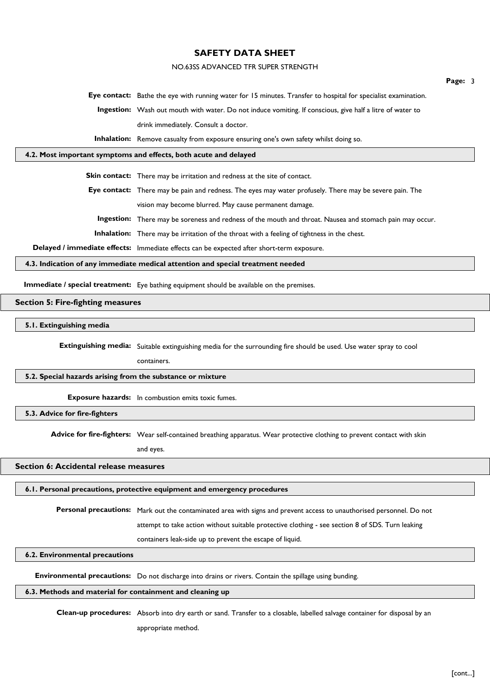# NO.63SS ADVANCED TFR SUPER STRENGTH

**Eye contact:** Bathe the eye with running water for 15 minutes. Transfer to hospital for specialist examination.

**Ingestion:** Wash out mouth with water. Do not induce vomiting. If conscious, give half a litre of water to drink immediately. Consult a doctor.

**Inhalation:** Remove casualty from exposure ensuring one's own safety whilst doing so.

### **4.2. Most important symptoms and effects, both acute and delayed**

**Skin contact:** There may be irritation and redness at the site of contact.

**Eye contact:** There may be pain and redness. The eyes may water profusely. There may be severe pain. The vision may become blurred. May cause permanent damage.

**Ingestion:** There may be soreness and redness of the mouth and throat. Nausea and stomach pain may occur.

**Inhalation:** There may be irritation of the throat with a feeling of tightness in the chest.

**Delayed / immediate effects:** Immediate effects can be expected after short-term exposure.

# **4.3. Indication of any immediate medical attention and special treatment needed**

**Immediate / special treatment:** Eye bathing equipment should be available on the premises.

# **Section 5: Fire-fighting measures**

#### **5.1. Extinguishing media**

**Extinguishing media:** Suitable extinguishing media for the surrounding fire should be used. Use water spray to cool

containers.

### **5.2. Special hazards arising from the substance or mixture**

**Exposure hazards:** In combustion emits toxic fumes.

**5.3. Advice for fire-fighters**

**Advice for fire-fighters:** Wear self-contained breathing apparatus. Wear protective clothing to prevent contact with skin

and eyes.

# **Section 6: Accidental release measures**

#### **6.1. Personal precautions, protective equipment and emergency procedures**

**Personal precautions:** Mark out the contaminated area with signs and prevent access to unauthorised personnel. Do not

attempt to take action without suitable protective clothing - see section 8 of SDS. Turn leaking

containers leak-side up to prevent the escape of liquid.

### **6.2. Environmental precautions**

**Environmental precautions:** Do not discharge into drains or rivers. Contain the spillage using bunding.

### **6.3. Methods and material for containment and cleaning up**

**Clean-up procedures:** Absorb into dry earth or sand. Transfer to a closable, labelled salvage container for disposal by an appropriate method.

**Page:** 3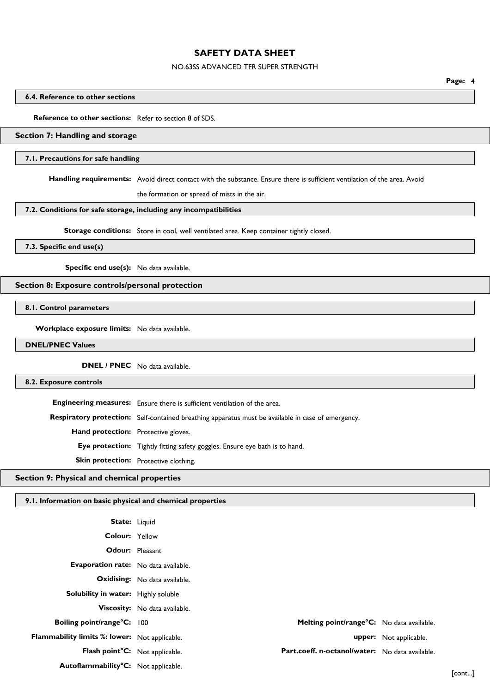# NO.63SS ADVANCED TFR SUPER STRENGTH

**Page:** 4

# **6.4. Reference to other sections**

# **Reference to other sections:** Refer to section 8 of SDS.

### **Section 7: Handling and storage**

#### **7.1. Precautions for safe handling**

**Handling requirements:** Avoid direct contact with the substance. Ensure there is sufficient ventilation of the area. Avoid

the formation or spread of mists in the air.

# **7.2. Conditions for safe storage, including any incompatibilities**

**Storage conditions:** Store in cool, well ventilated area. Keep container tightly closed.

# **7.3. Specific end use(s)**

**Specific end use(s):** No data available.

# **Section 8: Exposure controls/personal protection**

**8.1. Control parameters**

**Workplace exposure limits:** No data available.

**DNEL/PNEC Values**

**DNEL / PNEC** No data available.

# **8.2. Exposure controls**

**Engineering measures:** Ensure there is sufficient ventilation of the area. **Respiratory protection:** Self-contained breathing apparatus must be available in case of emergency. **Hand protection:** Protective gloves. **Eye protection:** Tightly fitting safety goggles. Ensure eye bath is to hand. **Skin protection:** Protective clothing.

### **Section 9: Physical and chemical properties**

# **9.1. Information on basic physical and chemical properties**

| <b>State:</b> Liquid                          |                                                 |                        |        |
|-----------------------------------------------|-------------------------------------------------|------------------------|--------|
| <b>Colour: Yellow</b>                         |                                                 |                        |        |
| <b>Odour:</b> Pleasant                        |                                                 |                        |        |
| Evaporation rate: No data available.          |                                                 |                        |        |
|                                               | <b>Oxidising:</b> No data available.            |                        |        |
| Solubility in water: Highly soluble           |                                                 |                        |        |
|                                               | Viscosity: No data available.                   |                        |        |
| Boiling point/range°C: 100                    | Melting point/range°C: No data available.       |                        |        |
| Flammability limits %: lower: Not applicable. |                                                 | upper: Not applicable. |        |
| Flash point°C: Not applicable.                | Part.coeff. n-octanol/water: No data available. |                        |        |
| Autoflammability°C: Not applicable.           |                                                 |                        | [cont] |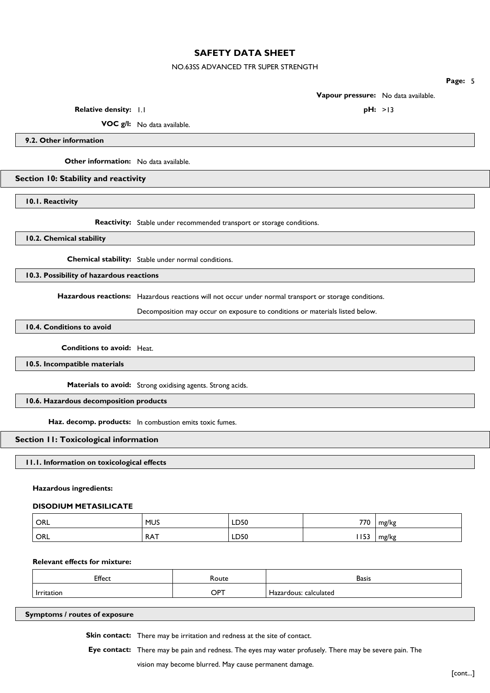# NO.63SS ADVANCED TFR SUPER STRENGTH

**Page:** 5

**Vapour pressure:** No data available.

**Relative density:** 1.1 **pH:**  $>13$ 

**VOC g/l:** No data available.

**9.2. Other information**

**Other information:** No data available.

# **Section 10: Stability and reactivity**

**10.1. Reactivity**

**Reactivity:** Stable under recommended transport or storage conditions.

# **10.2. Chemical stability**

**Chemical stability:** Stable under normal conditions.

**10.3. Possibility of hazardous reactions**

**Hazardous reactions:** Hazardous reactions will not occur under normal transport or storage conditions.

Decomposition may occur on exposure to conditions or materials listed below.

**10.4. Conditions to avoid**

**Conditions to avoid:** Heat.

**10.5. Incompatible materials**

**Materials to avoid:** Strong oxidising agents. Strong acids.

# **10.6. Hazardous decomposition products**

**Haz. decomp. products:** In combustion emits toxic fumes.

### **Section 11: Toxicological information**

## **11.1. Information on toxicological effects**

### **Hazardous ingredients:**

#### **DISODIUM METASILICATE**

| ' ORL | <b>MUS</b> | LD50 | 770 | mg/kg |
|-------|------------|------|-----|-------|
| ORL   | <b>RAT</b> | LD50 | 153 | mg/kg |

# **Relevant effects for mixture:**

| Effect                          | Route      | -<br><b>Basis</b>                |
|---------------------------------|------------|----------------------------------|
| <i><u><b>Irritation</b></u></i> | <b>OPT</b> | calculated<br>zardous:<br>الهكمة |

**Symptoms / routes of exposure**

**Skin contact:** There may be irritation and redness at the site of contact.

**Eye contact:** There may be pain and redness. The eyes may water profusely. There may be severe pain. The

vision may become blurred. May cause permanent damage.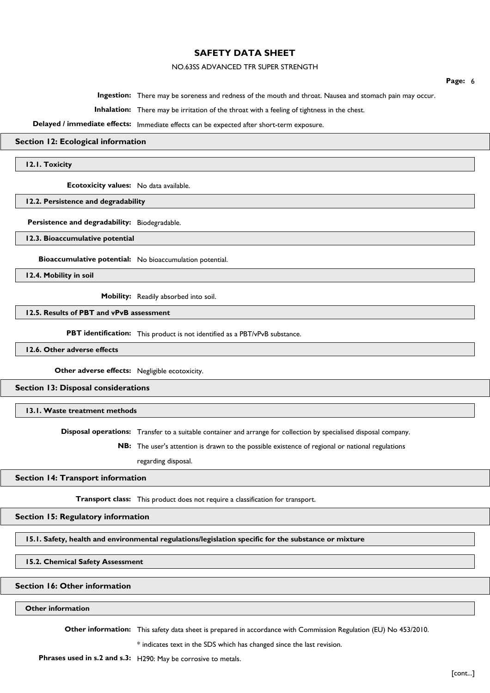# NO.63SS ADVANCED TFR SUPER STRENGTH

**Ingestion:** There may be soreness and redness of the mouth and throat. Nausea and stomach pain may occur.

**Inhalation:** There may be irritation of the throat with a feeling of tightness in the chest.

**Delayed / immediate effects:** Immediate effects can be expected after short-term exposure.

# **Section 12: Ecological information**

**12.1. Toxicity**

**Ecotoxicity values:** No data available.

**12.2. Persistence and degradability**

**Persistence and degradability:** Biodegradable.

**12.3. Bioaccumulative potential**

**Bioaccumulative potential:** No bioaccumulation potential.

**12.4. Mobility in soil**

**Mobility:** Readily absorbed into soil.

**12.5. Results of PBT and vPvB assessment**

**PBT identification:** This product is not identified as a PBT/vPvB substance.

**12.6. Other adverse effects**

**Other adverse effects:** Negligible ecotoxicity.

**Section 13: Disposal considerations**

**13.1. Waste treatment methods**

**Disposal operations:** Transfer to a suitable container and arrange for collection by specialised disposal company.

**NB:** The user's attention is drawn to the possible existence of regional or national regulations

regarding disposal.

#### **Section 14: Transport information**

**Transport class:** This product does not require a classification for transport.

**Section 15: Regulatory information**

**15.1. Safety, health and environmental regulations/legislation specific for the substance or mixture**

**15.2. Chemical Safety Assessment**

### **Section 16: Other information**

# **Other information**

**Other information:** This safety data sheet is prepared in accordance with Commission Regulation (EU) No 453/2010.

\* indicates text in the SDS which has changed since the last revision.

**Phrases used in s.2 and s.3:** H290: May be corrosive to metals.